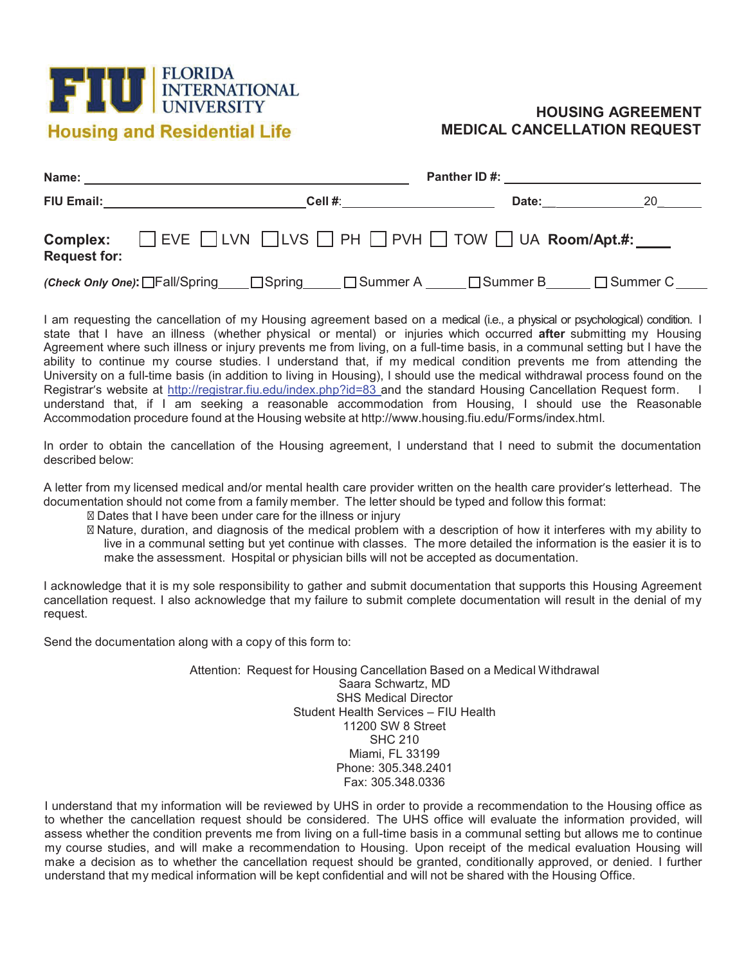

## **HOUSING AGREEMENT MEDICAL CANCELLATION REQUEST**

| Name:                           |                                                                                               | <b>Panther ID #:</b> |            |
|---------------------------------|-----------------------------------------------------------------------------------------------|----------------------|------------|
| <b>FIU Email:</b>               | Cell #:                                                                                       | Date:                | 20         |
| Complex:<br><b>Request for:</b> | $\Box$ EVE $\Box$ LVN $\Box$ LVS $\Box$ PH $\Box$ PVH $\Box$ TOW $\Box$ UA <b>Room/Apt.#:</b> |                      |            |
| (Check Only One): Fall/Spring   | $\Box$ Spring<br>$\Box$ Summer A                                                              | $\square$ Summer B   | □ Summer C |

I am requesting the cancellation of my Housing agreement based on a medical (i.e., a physical or psychological) condition. I state that I have an illness (whether physical or mental) or injuries which occurred **after** submitting my Housing Agreement where such illness or injury prevents me from living, on a full-time basis, in a communal setting but I have the ability to continue my course studies. I understand that, if my medical condition prevents me from attending the University on a full-time basis (in addition to living in Housing), I should use the medical withdrawal process found on the Registrar's website at http://registrar.fiu.edu/index.php?id=83 and the standard Housing Cancellation Request form. I understand that, if I am seeking a reasonable accommodation from Housing, I should use the Reasonable Accommodation procedure found at the Housing website at http://www.housing.fiu.edu/Forms/index.html.

In order to obtain the cancellation of the Housing agreement, I understand that I need to submit the documentation described below:

A letter from my licensed medical and/or mental health care provider written on the health care provider's letterhead. The documentation should not come from a family member. The letter should be typed and follow this format:

Dates that I have been under care for the illness or injury

Nature, duration, and diagnosis of the medical problem with a description of how it interferes with my ability to live in a communal setting but yet continue with classes. The more detailed the information is the easier it is to make the assessment. Hospital or physician bills will not be accepted as documentation.

I acknowledge that it is my sole responsibility to gather and submit documentation that supports this Housing Agreement cancellation request. I also acknowledge that my failure to submit complete documentation will result in the denial of my request.

Send the documentation along with a copy of this form to:

Attention: Request for Housing Cancellation Based on a Medical Withdrawal Saara Schwartz, MD SHS Medical Director Student Health Services – FIU Health 11200 SW 8 Street SHC 210 Miami, FL 33199 Phone: 305.348.2401 Fax: 305.348.0336

I understand that my information will be reviewed by UHS in order to provide a recommendation to the Housing office as to whether the cancellation request should be considered. The UHS office will evaluate the information provided, will assess whether the condition prevents me from living on a full-time basis in a communal setting but allows me to continue my course studies, and will make a recommendation to Housing. Upon receipt of the medical evaluation Housing will make a decision as to whether the cancellation request should be granted, conditionally approved, or denied. I further understand that my medical information will be kept confidential and will not be shared with the Housing Office.